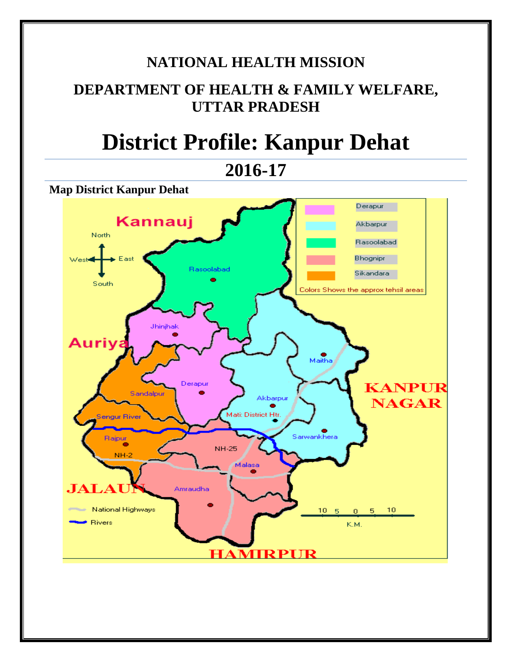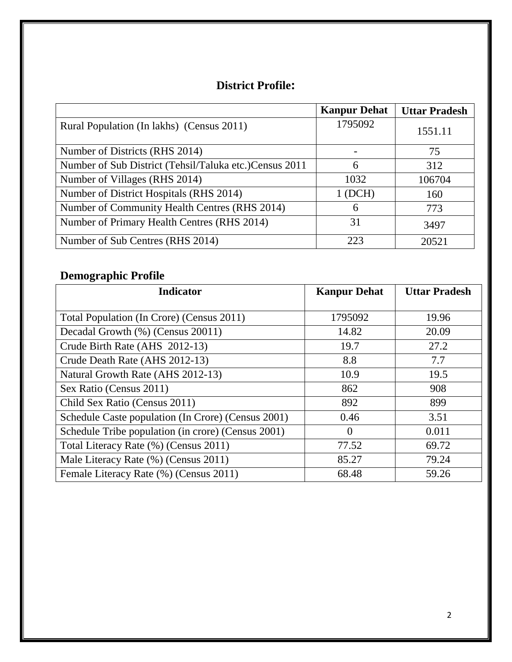# **District Profile:**

|                                                         | <b>Kanpur Dehat</b> | <b>Uttar Pradesh</b> |
|---------------------------------------------------------|---------------------|----------------------|
| Rural Population (In lakhs) (Census 2011)               | 1795092             | 1551.11              |
| Number of Districts (RHS 2014)                          |                     | 75                   |
| Number of Sub District (Tehsil/Taluka etc.) Census 2011 | 6                   | 312                  |
| Number of Villages (RHS 2014)                           | 1032                | 106704               |
| Number of District Hospitals (RHS 2014)                 | 1(DCH)              | 160                  |
| Number of Community Health Centres (RHS 2014)           | 6                   | 773                  |
| Number of Primary Health Centres (RHS 2014)             | 31                  | 3497                 |
| Number of Sub Centres (RHS 2014)                        | 223                 | 20521                |

# **Demographic Profile**

| <b>Indicator</b>                                   | <b>Kanpur Dehat</b> | <b>Uttar Pradesh</b> |
|----------------------------------------------------|---------------------|----------------------|
| Total Population (In Crore) (Census 2011)          | 1795092             | 19.96                |
| Decadal Growth (%) (Census 20011)                  | 14.82               | 20.09                |
| Crude Birth Rate (AHS 2012-13)                     | 19.7                | 27.2                 |
| Crude Death Rate (AHS 2012-13)                     | 8.8                 | 7.7                  |
| Natural Growth Rate (AHS 2012-13)                  | 10.9                | 19.5                 |
| Sex Ratio (Census 2011)                            | 862                 | 908                  |
| Child Sex Ratio (Census 2011)                      | 892                 | 899                  |
| Schedule Caste population (In Crore) (Census 2001) | 0.46                | 3.51                 |
| Schedule Tribe population (in crore) (Census 2001) | $\Omega$            | 0.011                |
| Total Literacy Rate (%) (Census 2011)              | 77.52               | 69.72                |
| Male Literacy Rate (%) (Census 2011)               | 85.27               | 79.24                |
| Female Literacy Rate (%) (Census 2011)             | 68.48               | 59.26                |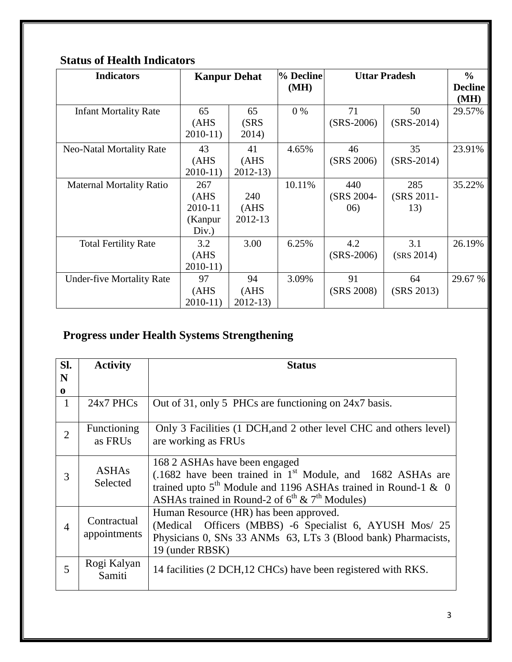| <b>Indicators</b>                |                                             | <b>Kanpur Dehat</b>      |        | % Decline<br><b>Uttar Pradesh</b> |                          | $\frac{6}{9}$<br><b>Decline</b><br>(MH) |
|----------------------------------|---------------------------------------------|--------------------------|--------|-----------------------------------|--------------------------|-----------------------------------------|
| <b>Infant Mortality Rate</b>     | 65<br>(AHS)<br>$2010-11$                    | 65<br>(SRS)<br>2014)     | $0\%$  | 71<br>$(SRS-2006)$                | 50<br>$(SRS-2014)$       | 29.57%                                  |
| Neo-Natal Mortality Rate         | 43<br>(AHS)<br>$2010-11$                    | 41<br>(AHS)<br>$2012-13$ | 4.65%  | 46<br>(SRS 2006)                  | 35<br>$(SRS-2014)$       | 23.91%                                  |
| <b>Maternal Mortality Ratio</b>  | 267<br>(AHS)<br>2010-11<br>(Kanpur<br>Div.) | 240<br>(AHS)<br>2012-13  | 10.11% | 440<br>(SRS 2004-<br>06)          | 285<br>(SRS 2011-<br>13) | 35.22%                                  |
| <b>Total Fertility Rate</b>      | 3.2<br>(AHS)<br>$2010-11$                   | 3.00                     | 6.25%  | 4.2<br>$(SRS-2006)$               | 3.1<br>(SRS 2014)        | 26.19%                                  |
| <b>Under-five Mortality Rate</b> | 97<br>(AHS)<br>$2010-11$                    | 94<br>(AHS)<br>$2012-13$ | 3.09%  | 91<br>(SRS 2008)                  | 64<br>(SRS 2013)         | 29.67 %                                 |

## **Status of Health Indicators**

# **Progress under Health Systems Strengthening**

| SI.            | <b>Activity</b>             | <b>Status</b>                                                                                                                                                                                                                             |
|----------------|-----------------------------|-------------------------------------------------------------------------------------------------------------------------------------------------------------------------------------------------------------------------------------------|
| N              |                             |                                                                                                                                                                                                                                           |
| $\bf{0}$       |                             |                                                                                                                                                                                                                                           |
| $\mathbf{1}$   | $24x7$ PHCs                 | Out of 31, only 5 PHCs are functioning on 24x7 basis.                                                                                                                                                                                     |
| $\overline{2}$ | Functioning<br>as FRUs      | Only 3 Facilities (1 DCH, and 2 other level CHC and others level)<br>are working as FRUs                                                                                                                                                  |
| 3              | <b>ASHAs</b><br>Selected    | 168 2 ASHAs have been engaged<br>$(.1682)$ have been trained in 1 <sup>st</sup> Module, and 1682 ASHAs are<br>trained upto $5th$ Module and 1196 ASHAs trained in Round-1 & 0<br>ASHAs trained in Round-2 of $6^{th}$ & $7^{th}$ Modules) |
| 4              | Contractual<br>appointments | Human Resource (HR) has been approved.<br>(Medical Officers (MBBS) -6 Specialist 6, AYUSH Mos/ 25<br>Physicians 0, SNs 33 ANMs 63, LTs 3 (Blood bank) Pharmacists,<br>19 (under RBSK)                                                     |
| 5              | Rogi Kalyan<br>Samiti       | 14 facilities (2 DCH, 12 CHCs) have been registered with RKS.                                                                                                                                                                             |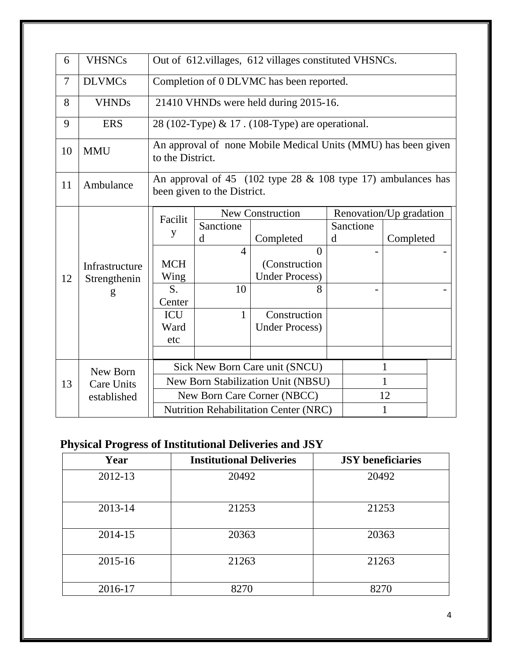| 6                                              | <b>VHSNCs</b>                    |                                                                                                |                                                       |                                                               |   |                         |           |  |  |  |
|------------------------------------------------|----------------------------------|------------------------------------------------------------------------------------------------|-------------------------------------------------------|---------------------------------------------------------------|---|-------------------------|-----------|--|--|--|
|                                                |                                  |                                                                                                | Out of 612.villages, 612 villages constituted VHSNCs. |                                                               |   |                         |           |  |  |  |
| $\overline{7}$                                 | <b>DLVMCs</b>                    |                                                                                                | Completion of 0 DLVMC has been reported.              |                                                               |   |                         |           |  |  |  |
| 8                                              | <b>VHNDs</b>                     |                                                                                                |                                                       | 21410 VHNDs were held during 2015-16.                         |   |                         |           |  |  |  |
| 9                                              | <b>ERS</b>                       |                                                                                                |                                                       | 28 (102-Type) & 17. (108-Type) are operational.               |   |                         |           |  |  |  |
| 10                                             | <b>MMU</b>                       | to the District.                                                                               |                                                       | An approval of none Mobile Medical Units (MMU) has been given |   |                         |           |  |  |  |
| 11                                             | Ambulance                        | An approval of 45 (102 type $28 \& 108$ type 17) ambulances has<br>been given to the District. |                                                       |                                                               |   |                         |           |  |  |  |
| Facilit                                        |                                  |                                                                                                |                                                       | <b>New Construction</b>                                       |   | Renovation/Up gradation |           |  |  |  |
|                                                |                                  | y                                                                                              | Sanctione                                             |                                                               |   | Sanctione               |           |  |  |  |
|                                                |                                  |                                                                                                | d                                                     | Completed                                                     | d |                         | Completed |  |  |  |
|                                                |                                  |                                                                                                | $\overline{4}$                                        | $\theta$                                                      |   |                         |           |  |  |  |
|                                                | Infrastructure                   | <b>MCH</b>                                                                                     |                                                       | (Construction                                                 |   |                         |           |  |  |  |
| 12                                             | Strengthenin                     | Wing                                                                                           |                                                       | <b>Under Process)</b>                                         |   |                         |           |  |  |  |
|                                                | g                                | S.                                                                                             | 10                                                    | 8                                                             |   |                         |           |  |  |  |
|                                                |                                  | Center<br><b>ICU</b>                                                                           | $\mathbf{1}$                                          | Construction                                                  |   |                         |           |  |  |  |
|                                                |                                  | Ward                                                                                           |                                                       | <b>Under Process)</b>                                         |   |                         |           |  |  |  |
|                                                |                                  | etc                                                                                            |                                                       |                                                               |   |                         |           |  |  |  |
|                                                |                                  |                                                                                                |                                                       |                                                               |   |                         |           |  |  |  |
|                                                |                                  | Sick New Born Care unit (SNCU)<br>1                                                            |                                                       |                                                               |   |                         |           |  |  |  |
| New Born<br>New Born Stabilization Unit (NBSU) |                                  |                                                                                                |                                                       |                                                               |   | 1                       |           |  |  |  |
| 13                                             | <b>Care Units</b><br>established | New Born Care Corner (NBCC)<br>12                                                              |                                                       |                                                               |   |                         |           |  |  |  |
|                                                |                                  | 1                                                                                              |                                                       |                                                               |   |                         |           |  |  |  |
|                                                |                                  | <b>Nutrition Rehabilitation Center (NRC)</b>                                                   |                                                       |                                                               |   |                         |           |  |  |  |

# **Physical Progress of Institutional Deliveries and JSY**

| ີ       |                                 |                          |
|---------|---------------------------------|--------------------------|
| Year    | <b>Institutional Deliveries</b> | <b>JSY</b> beneficiaries |
| 2012-13 | 20492                           | 20492                    |
| 2013-14 | 21253                           | 21253                    |
| 2014-15 | 20363                           | 20363                    |
| 2015-16 | 21263                           | 21263                    |
| 2016-17 | 8270                            | 8270                     |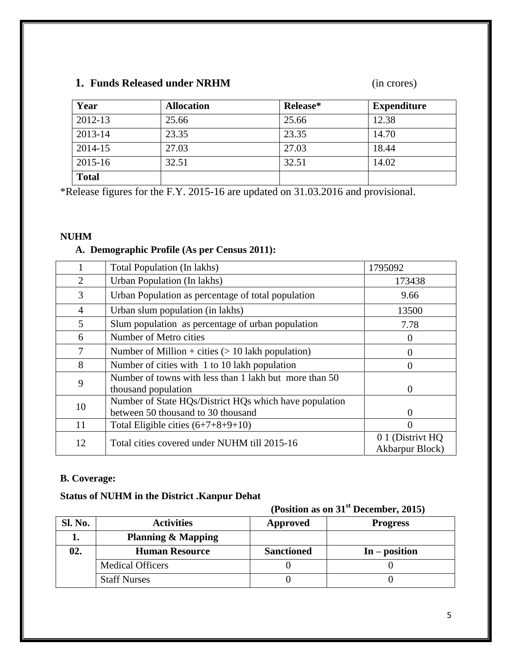## **1. Funds Released under NRHM** (in crores)

| Year         | <b>Allocation</b> | Release* | <b>Expenditure</b> |
|--------------|-------------------|----------|--------------------|
| 2012-13      | 25.66             | 25.66    | 12.38              |
| 2013-14      | 23.35             | 23.35    | 14.70              |
| 2014-15      | 27.03             | 27.03    | 18.44              |
| 2015-16      | 32.51             | 32.51    | 14.02              |
| <b>Total</b> |                   |          |                    |

\*Release figures for the F.Y. 2015-16 are updated on 31.03.2016 and provisional.

#### **NUHM**

### **A. Demographic Profile (As per Census 2011):**

|                | Total Population (In lakhs)                                                                  | 1795092                             |
|----------------|----------------------------------------------------------------------------------------------|-------------------------------------|
| $\overline{2}$ | Urban Population (In lakhs)                                                                  | 173438                              |
| 3              | Urban Population as percentage of total population                                           | 9.66                                |
| $\overline{4}$ | Urban slum population (in lakhs)                                                             | 13500                               |
| 5              | Slum population as percentage of urban population                                            | 7.78                                |
| 6              | Number of Metro cities                                                                       |                                     |
| 7              | Number of Million + cities $(> 10$ lakh population)                                          | 0                                   |
| 8              | Number of cities with 1 to 10 lakh population                                                | 0                                   |
| 9              | Number of towns with less than 1 lakh but more than 50<br>thousand population                | 0                                   |
| 10             | Number of State HQs/District HQs which have population<br>between 50 thousand to 30 thousand | $\mathbf{0}$                        |
| 11             | Total Eligible cities $(6+7+8+9+10)$                                                         | $\Omega$                            |
| 12             | Total cities covered under NUHM till 2015-16                                                 | 0 1 (Distrivt HQ<br>Akbarpur Block) |

#### **B. Coverage:**

## **Status of NUHM in the District .Kanpur Dehat**

|                |                               | (Position as on 31 <sup>st</sup> December, 2015) |                 |  |
|----------------|-------------------------------|--------------------------------------------------|-----------------|--|
| <b>Sl. No.</b> | <b>Activities</b>             | <b>Approved</b>                                  | <b>Progress</b> |  |
|                | <b>Planning &amp; Mapping</b> |                                                  |                 |  |
| 02.            | <b>Human Resource</b>         | <b>Sanctioned</b>                                | $In - position$ |  |
|                | <b>Medical Officers</b>       |                                                  |                 |  |
|                | <b>Staff Nurses</b>           |                                                  |                 |  |